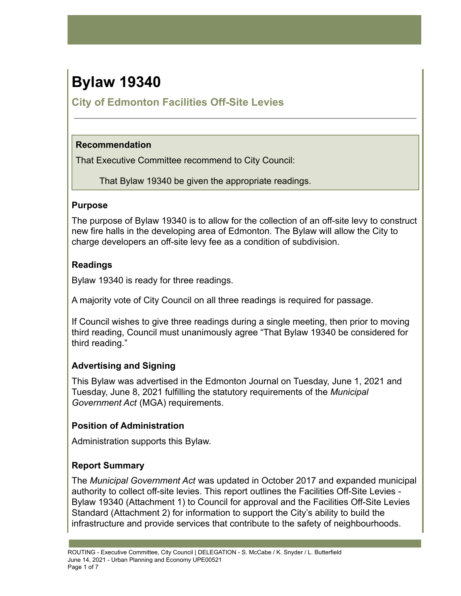# **Bylaw 19340**

# **City of Edmonton Facilities Off-Site Levies**

### **Recommendation**

That Executive Committee recommend to City Council:

That Bylaw 19340 be given the appropriate readings.

#### **Purpose**

The purpose of Bylaw 19340 is to allow for the collection of an off-site levy to construct new fire halls in the developing area of Edmonton. The Bylaw will allow the City to charge developers an off-site levy fee as a condition of subdivision.

## **Readings**

Bylaw 19340 is ready for three readings.

A majority vote of City Council on all three readings is required for passage.

If Council wishes to give three readings during a single meeting, then prior to moving third reading, Council must unanimously agree "That Bylaw 19340 be considered for third reading."

# **Advertising and Signing**

This Bylaw was advertised in the Edmonton Journal on Tuesday, June 1, 2021 and Tuesday, June 8, 2021 fulfilling the statutory requirements of the *Municipal Government Act* (MGA) requirements.

## **Position of Administration**

Administration supports this Bylaw.

# **Report Summary**

The *Municipal Government Act* was updated in October 2017 and expanded municipal authority to collect off-site levies. This report outlines the Facilities Off-Site Levies - Bylaw 19340 (Attachment 1) to Council for approval and the Facilities Off-Site Levies Standard (Attachment 2) for information to support the City's ability to build the infrastructure and provide services that contribute to the safety of neighbourhoods.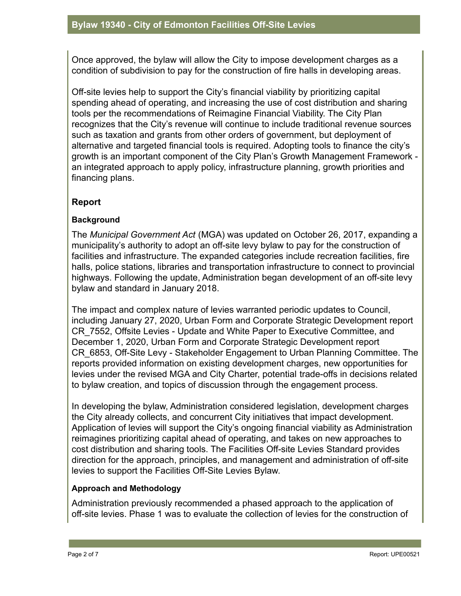Once approved, the bylaw will allow the City to impose development charges as a condition of subdivision to pay for the construction of fire halls in developing areas.

Off-site levies help to support the City's financial viability by prioritizing capital spending ahead of operating, and increasing the use of cost distribution and sharing tools per the recommendations of Reimagine Financial Viability. The City Plan recognizes that the City's revenue will continue to include traditional revenue sources such as taxation and grants from other orders of government, but deployment of alternative and targeted financial tools is required. Adopting tools to finance the city's growth is an important component of the City Plan's Growth Management Framework an integrated approach to apply policy, infrastructure planning, growth priorities and financing plans.

#### **Report**

#### **Background**

The *Municipal Government Act* (MGA) was updated on October 26, 2017, expanding a municipality's authority to adopt an off-site levy bylaw to pay for the construction of facilities and infrastructure. The expanded categories include recreation facilities, fire halls, police stations, libraries and transportation infrastructure to connect to provincial highways. Following the update, Administration began development of an off-site levy bylaw and standard in January 2018.

The impact and complex nature of levies warranted periodic updates to Council, including January 27, 2020, Urban Form and Corporate Strategic Development report CR\_7552, Offsite Levies - Update and White Paper to Executive Committee, and December 1, 2020, Urban Form and Corporate Strategic Development report CR\_6853, Off-Site Levy - Stakeholder Engagement to Urban Planning Committee. The reports provided information on existing development charges, new opportunities for levies under the revised MGA and City Charter, potential trade-offs in decisions related to bylaw creation, and topics of discussion through the engagement process.

In developing the bylaw, Administration considered legislation, development charges the City already collects, and concurrent City initiatives that impact development. Application of levies will support the City's ongoing financial viability as Administration reimagines prioritizing capital ahead of operating, and takes on new approaches to cost distribution and sharing tools. The Facilities Off-site Levies Standard provides direction for the approach, principles, and management and administration of off-site levies to support the Facilities Off-Site Levies Bylaw.

#### **Approach and Methodology**

Administration previously recommended a phased approach to the application of off-site levies. Phase 1 was to evaluate the collection of levies for the construction of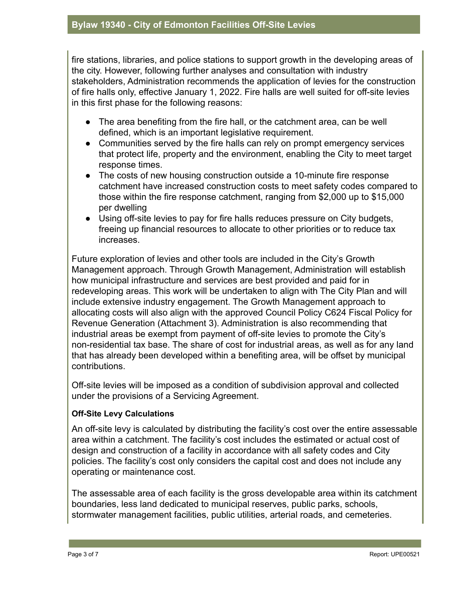fire stations, libraries, and police stations to support growth in the developing areas of the city. However, following further analyses and consultation with industry stakeholders, Administration recommends the application of levies for the construction of fire halls only, effective January 1, 2022. Fire halls are well suited for off-site levies in this first phase for the following reasons:

- The area benefiting from the fire hall, or the catchment area, can be well defined, which is an important legislative requirement.
- Communities served by the fire halls can rely on prompt emergency services that protect life, property and the environment, enabling the City to meet target response times.
- The costs of new housing construction outside a 10-minute fire response catchment have increased construction costs to meet safety codes compared to those within the fire response catchment, ranging from \$2,000 up to \$15,000 per dwelling
- Using off-site levies to pay for fire halls reduces pressure on City budgets, freeing up financial resources to allocate to other priorities or to reduce tax increases.

Future exploration of levies and other tools are included in the City's Growth Management approach. Through Growth Management, Administration will establish how municipal infrastructure and services are best provided and paid for in redeveloping areas. This work will be undertaken to align with The City Plan and will include extensive industry engagement. The Growth Management approach to allocating costs will also align with the approved Council Policy C624 Fiscal Policy for Revenue Generation (Attachment 3). Administration is also recommending that industrial areas be exempt from payment of off-site levies to promote the City's non-residential tax base. The share of cost for industrial areas, as well as for any land that has already been developed within a benefiting area, will be offset by municipal contributions.

Off-site levies will be imposed as a condition of subdivision approval and collected under the provisions of a Servicing Agreement.

#### **Off-Site Levy Calculations**

An off-site levy is calculated by distributing the facility's cost over the entire assessable area within a catchment. The facility's cost includes the estimated or actual cost of design and construction of a facility in accordance with all safety codes and City policies. The facility's cost only considers the capital cost and does not include any operating or maintenance cost.

The assessable area of each facility is the gross developable area within its catchment boundaries, less land dedicated to municipal reserves, public parks, schools, stormwater management facilities, public utilities, arterial roads, and cemeteries.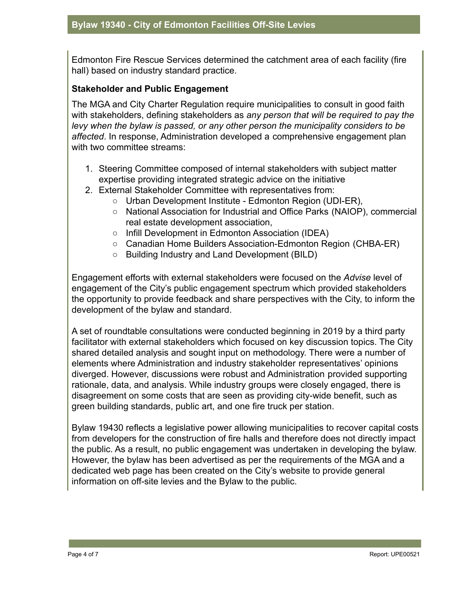Edmonton Fire Rescue Services determined the catchment area of each facility (fire hall) based on industry standard practice.

#### **Stakeholder and Public Engagement**

The MGA and City Charter Regulation require municipalities to consult in good faith with stakeholders, defining stakeholders as *any person that will be required to pay the levy when the bylaw is passed, or any other person the municipality considers to be affected*. In response, Administration developed a comprehensive engagement plan with two committee streams:

- 1. Steering Committee composed of internal stakeholders with subject matter expertise providing integrated strategic advice on the initiative
- 2. External Stakeholder Committee with representatives from:
	- Urban Development Institute Edmonton Region (UDI-ER),
	- National Association for Industrial and Office Parks (NAIOP), commercial real estate development association,
	- Infill Development in Edmonton Association (IDEA)
	- Canadian Home Builders Association-Edmonton Region (CHBA-ER)
	- Building Industry and Land Development (BILD)

Engagement efforts with external stakeholders were focused on the *Advise* level of engagement of the City's public engagement spectrum which provided stakeholders the opportunity to provide feedback and share perspectives with the City, to inform the development of the bylaw and standard.

A set of roundtable consultations were conducted beginning in 2019 by a third party facilitator with external stakeholders which focused on key discussion topics. The City shared detailed analysis and sought input on methodology. There were a number of elements where Administration and industry stakeholder representatives' opinions diverged. However, discussions were robust and Administration provided supporting rationale, data, and analysis. While industry groups were closely engaged, there is disagreement on some costs that are seen as providing city-wide benefit, such as green building standards, public art, and one fire truck per station.

Bylaw 19430 reflects a legislative power allowing municipalities to recover capital costs from developers for the construction of fire halls and therefore does not directly impact the public. As a result, no public engagement was undertaken in developing the bylaw. However, the bylaw has been advertised as per the requirements of the MGA and a dedicated web page has been created on the City's website to provide general information on off-site levies and the Bylaw to the public.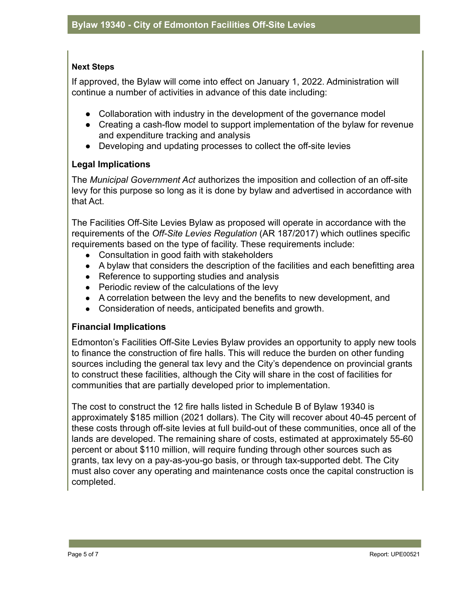#### **Next Steps**

If approved, the Bylaw will come into effect on January 1, 2022. Administration will continue a number of activities in advance of this date including:

- Collaboration with industry in the development of the governance model
- Creating a cash-flow model to support implementation of the bylaw for revenue and expenditure tracking and analysis
- Developing and updating processes to collect the off-site levies

#### **Legal Implications**

The *Municipal Government Act* authorizes the imposition and collection of an off-site levy for this purpose so long as it is done by bylaw and advertised in accordance with that Act.

The Facilities Off-Site Levies Bylaw as proposed will operate in accordance with the requirements of the *Off-Site Levies Regulation* (AR 187/2017) which outlines specific requirements based on the type of facility. These requirements include:

- Consultation in good faith with stakeholders
- A bylaw that considers the description of the facilities and each benefitting area
- Reference to supporting studies and analysis
- Periodic review of the calculations of the levy
- A correlation between the levy and the benefits to new development, and
- Consideration of needs, anticipated benefits and growth.

#### **Financial Implications**

Edmonton's Facilities Off-Site Levies Bylaw provides an opportunity to apply new tools to finance the construction of fire halls. This will reduce the burden on other funding sources including the general tax levy and the City's dependence on provincial grants to construct these facilities, although the City will share in the cost of facilities for communities that are partially developed prior to implementation.

The cost to construct the 12 fire halls listed in Schedule B of Bylaw 19340 is approximately \$185 million (2021 dollars). The City will recover about 40-45 percent of these costs through off-site levies at full build-out of these communities, once all of the lands are developed. The remaining share of costs, estimated at approximately 55-60 percent or about \$110 million, will require funding through other sources such as grants, tax levy on a pay-as-you-go basis, or through tax-supported debt. The City must also cover any operating and maintenance costs once the capital construction is completed.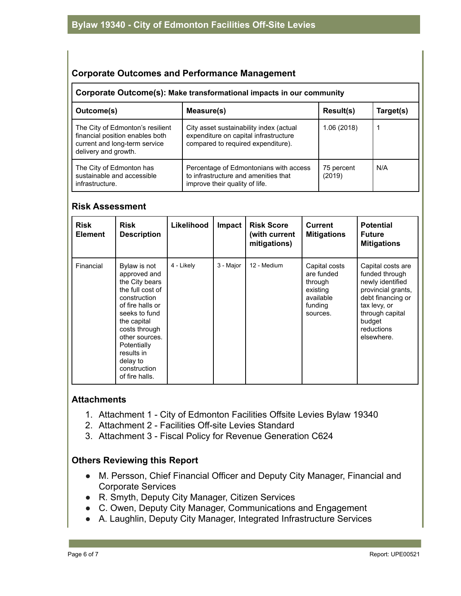#### **Corporate Outcomes and Performance Management**

#### **Corporate Outcome(s): Make transformational impacts in our community**

| Outcome(s)                                                                                                                   | Measure(s)                                                                                                             | Result(s)            | Target(s) |  |  |  |  |
|------------------------------------------------------------------------------------------------------------------------------|------------------------------------------------------------------------------------------------------------------------|----------------------|-----------|--|--|--|--|
| The City of Edmonton's resilient<br>financial position enables both<br>current and long-term service<br>delivery and growth. | City asset sustainability index (actual<br>expenditure on capital infrastructure<br>compared to required expenditure). | 1.06 (2018)          |           |  |  |  |  |
| The City of Edmonton has<br>sustainable and accessible<br>infrastructure.                                                    | Percentage of Edmontonians with access<br>to infrastructure and amenities that<br>improve their quality of life.       | 75 percent<br>(2019) | N/A       |  |  |  |  |

#### **Risk Assessment**

| <b>Risk</b><br><b>Element</b> | <b>Risk</b><br><b>Description</b>                                                                                                                                                                                                                    | Likelihood | Impact    | <b>Risk Score</b><br>(with current<br>mitigations) | <b>Current</b><br><b>Mitigations</b>                                                   | <b>Potential</b><br><b>Future</b><br><b>Mitigations</b>                                                                                                                     |
|-------------------------------|------------------------------------------------------------------------------------------------------------------------------------------------------------------------------------------------------------------------------------------------------|------------|-----------|----------------------------------------------------|----------------------------------------------------------------------------------------|-----------------------------------------------------------------------------------------------------------------------------------------------------------------------------|
| Financial                     | Bylaw is not<br>approved and<br>the City bears<br>the full cost of<br>construction<br>of fire halls or<br>seeks to fund<br>the capital<br>costs through<br>other sources.<br>Potentially<br>results in<br>delay to<br>construction<br>of fire halls. | 4 - Likely | 3 - Major | 12 - Medium                                        | Capital costs<br>are funded<br>through<br>existing<br>available<br>funding<br>sources. | Capital costs are<br>funded through<br>newly identified<br>provincial grants,<br>debt financing or<br>tax levy, or<br>through capital<br>budget<br>reductions<br>elsewhere. |

#### **Attachments**

- 1. Attachment 1 City of Edmonton Facilities Offsite Levies Bylaw 19340
- 2. Attachment 2 Facilities Off-site Levies Standard
- 3. Attachment 3 Fiscal Policy for Revenue Generation C624

#### **Others Reviewing this Report**

- M. Persson, Chief Financial Officer and Deputy City Manager, Financial and Corporate Services
- R. Smyth, Deputy City Manager, Citizen Services
- C. Owen, Deputy City Manager, Communications and Engagement
- A. Laughlin, Deputy City Manager, Integrated Infrastructure Services